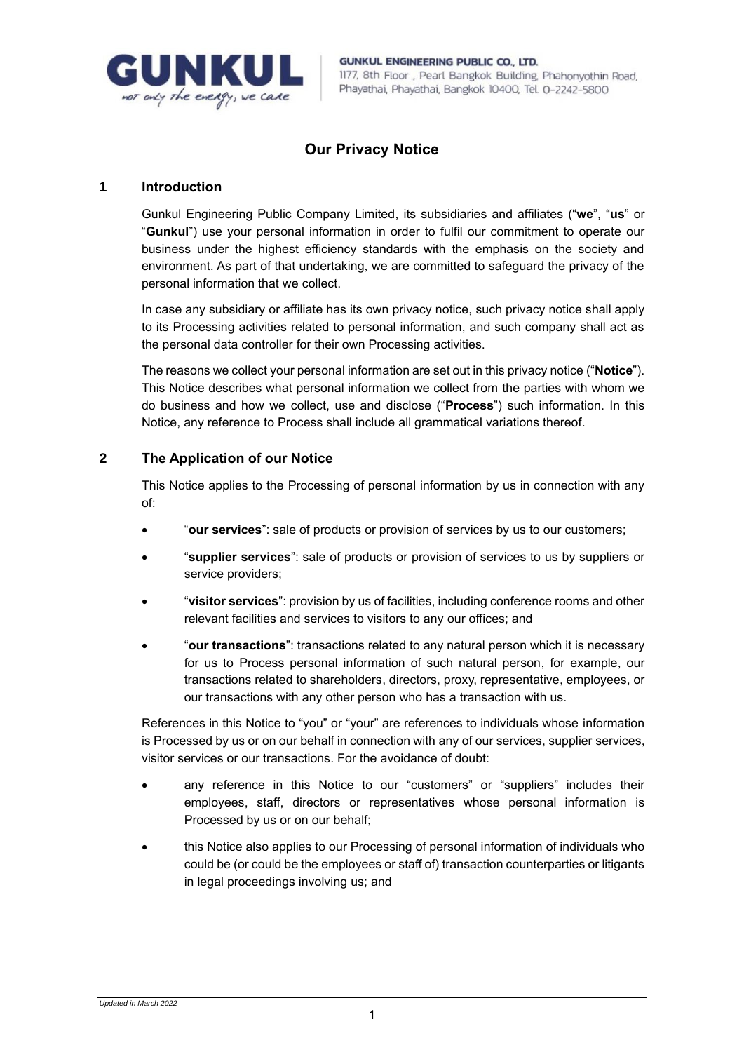

# **Our Privacy Notice**

### **1 Introduction**

Gunkul Engineering Public Company Limited, its subsidiaries and affiliates ("**we**", "**us**" or "**Gunkul**") use your personal information in order to fulfil our commitment to operate our business under the highest efficiency standards with the emphasis on the society and environment. As part of that undertaking, we are committed to safeguard the privacy of the personal information that we collect.

In case any subsidiary or affiliate has its own privacy notice, such privacy notice shall apply to its Processing activities related to personal information, and such company shall act as the personal data controller for their own Processing activities.

The reasons we collect your personal information are set out in this privacy notice ("**Notice**"). This Notice describes what personal information we collect from the parties with whom we do business and how we collect, use and disclose ("**Process**") such information. In this Notice, any reference to Process shall include all grammatical variations thereof.

# **2 The Application of our Notice**

This Notice applies to the Processing of personal information by us in connection with any of:

- "**our services**": sale of products or provision of services by us to our customers;
- "**supplier services**": sale of products or provision of services to us by suppliers or service providers;
- "**visitor services**": provision by us of facilities, including conference rooms and other relevant facilities and services to visitors to any our offices; and
- "**our transactions**": transactions related to any natural person which it is necessary for us to Process personal information of such natural person, for example, our transactions related to shareholders, directors, proxy, representative, employees, or our transactions with any other person who has a transaction with us.

References in this Notice to "you" or "your" are references to individuals whose information is Processed by us or on our behalf in connection with any of our services, supplier services, visitor services or our transactions. For the avoidance of doubt:

- any reference in this Notice to our "customers" or "suppliers" includes their employees, staff, directors or representatives whose personal information is Processed by us or on our behalf;
- this Notice also applies to our Processing of personal information of individuals who could be (or could be the employees or staff of) transaction counterparties or litigants in legal proceedings involving us; and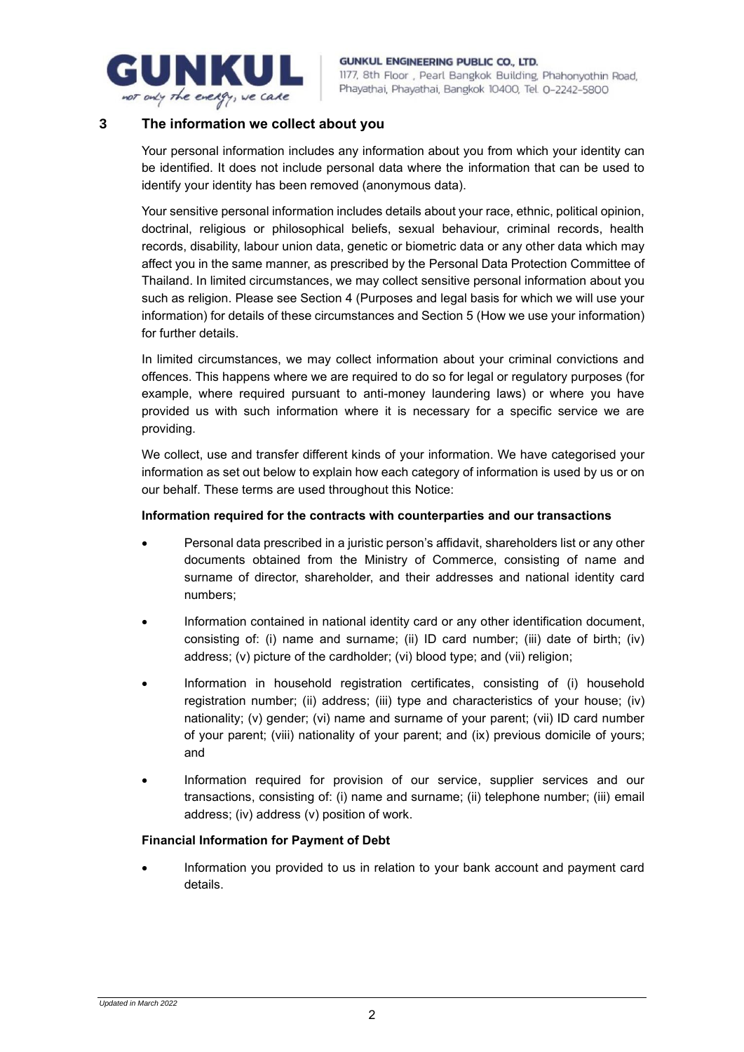

# **3 The information we collect about you**

Your personal information includes any information about you from which your identity can be identified. It does not include personal data where the information that can be used to identify your identity has been removed (anonymous data).

Your sensitive personal information includes details about your race, ethnic, political opinion, doctrinal, religious or philosophical beliefs, sexual behaviour, criminal records, health records, disability, labour union data, genetic or biometric data or any other data which may affect you in the same manner, as prescribed by the Personal Data Protection Committee of Thailand. In limited circumstances, we may collect sensitive personal information about you such as religion. Please see Section [4](#page-2-0) (Purposes and legal basis for which we will use your information) for details of these circumstances and Section [5](#page-4-0) (How we use your information) for further details.

In limited circumstances, we may collect information about your criminal convictions and offences. This happens where we are required to do so for legal or regulatory purposes (for example, where required pursuant to anti-money laundering laws) or where you have provided us with such information where it is necessary for a specific service we are providing.

We collect, use and transfer different kinds of your information. We have categorised your information as set out below to explain how each category of information is used by us or on our behalf. These terms are used throughout this Notice:

### **Information required for the contracts with counterparties and our transactions**

- Personal data prescribed in a juristic person's affidavit, shareholders list or any other documents obtained from the Ministry of Commerce, consisting of name and surname of director, shareholder, and their addresses and national identity card numbers;
- Information contained in national identity card or any other identification document, consisting of: (i) name and surname; (ii) ID card number; (iii) date of birth; (iv) address; (v) picture of the cardholder; (vi) blood type; and (vii) religion;
- Information in household registration certificates, consisting of (i) household registration number; (ii) address; (iii) type and characteristics of your house; (iv) nationality; (v) gender; (vi) name and surname of your parent; (vii) ID card number of your parent; (viii) nationality of your parent; and (ix) previous domicile of yours; and
- Information required for provision of our service, supplier services and our transactions, consisting of: (i) name and surname; (ii) telephone number; (iii) email address; (iv) address (v) position of work.

### **Financial Information for Payment of Debt**

• Information you provided to us in relation to your bank account and payment card details.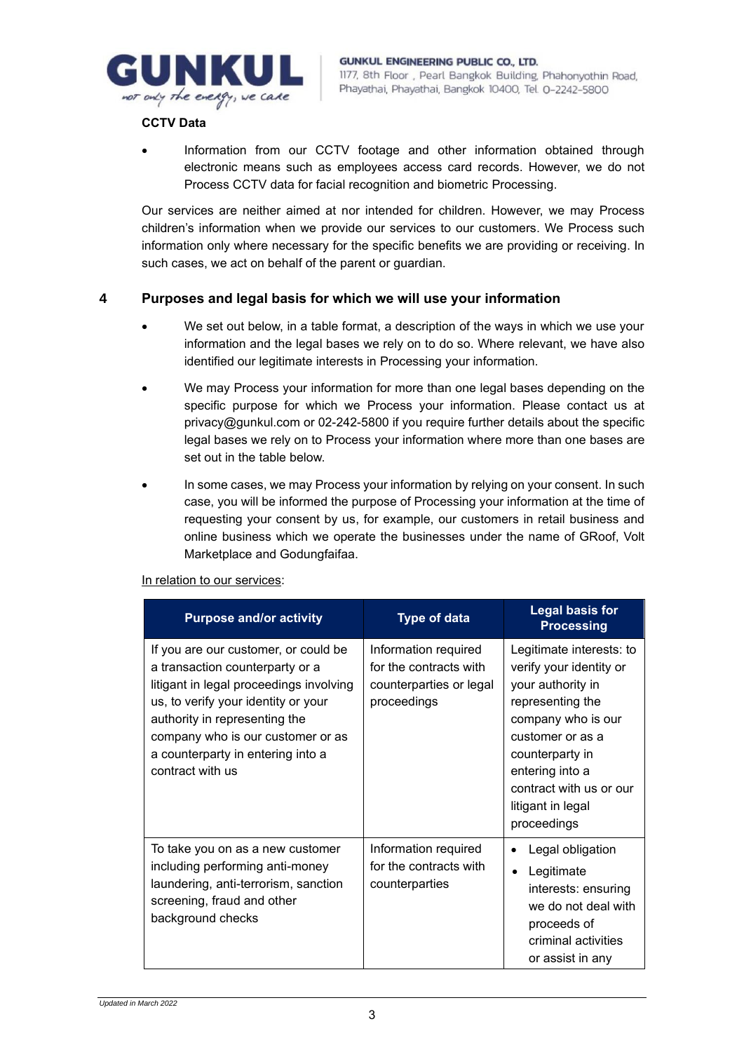

### **CCTV Data**

• Information from our CCTV footage and other information obtained through electronic means such as employees access card records. However, we do not Process CCTV data for facial recognition and biometric Processing.

Our services are neither aimed at nor intended for children. However, we may Process children's information when we provide our services to our customers. We Process such information only where necessary for the specific benefits we are providing or receiving. In such cases, we act on behalf of the parent or guardian.

### <span id="page-2-0"></span>**4 Purposes and legal basis for which we will use your information**

- We set out below, in a table format, a description of the ways in which we use your information and the legal bases we rely on to do so. Where relevant, we have also identified our legitimate interests in Processing your information.
- We may Process your information for more than one legal bases depending on the specific purpose for which we Process your information. Please contact us at privacy@gunkul.com or 02-242-5800 if you require further details about the specific legal bases we rely on to Process your information where more than one bases are set out in the table below.
- In some cases, we may Process your information by relying on your consent. In such case, you will be informed the purpose of Processing your information at the time of requesting your consent by us, for example, our customers in retail business and online business which we operate the businesses under the name of GRoof, Volt Marketplace and Godungfaifaa.

#### In relation to our services:

| <b>Purpose and/or activity</b>                                                                                                                                                                                                                                                           | <b>Type of data</b>                                                                      | <b>Legal basis for</b><br><b>Processing</b>                                                                                                                                                                                                 |
|------------------------------------------------------------------------------------------------------------------------------------------------------------------------------------------------------------------------------------------------------------------------------------------|------------------------------------------------------------------------------------------|---------------------------------------------------------------------------------------------------------------------------------------------------------------------------------------------------------------------------------------------|
| If you are our customer, or could be<br>a transaction counterparty or a<br>litigant in legal proceedings involving<br>us, to verify your identity or your<br>authority in representing the<br>company who is our customer or as<br>a counterparty in entering into a<br>contract with us | Information required<br>for the contracts with<br>counterparties or legal<br>proceedings | Legitimate interests: to<br>verify your identity or<br>your authority in<br>representing the<br>company who is our<br>customer or as a<br>counterparty in<br>entering into a<br>contract with us or our<br>litigant in legal<br>proceedings |
| To take you on as a new customer<br>including performing anti-money<br>laundering, anti-terrorism, sanction<br>screening, fraud and other<br>background checks                                                                                                                           | Information required<br>for the contracts with<br>counterparties                         | Legal obligation<br>Legitimate<br>interests: ensuring<br>we do not deal with<br>proceeds of<br>criminal activities<br>or assist in any                                                                                                      |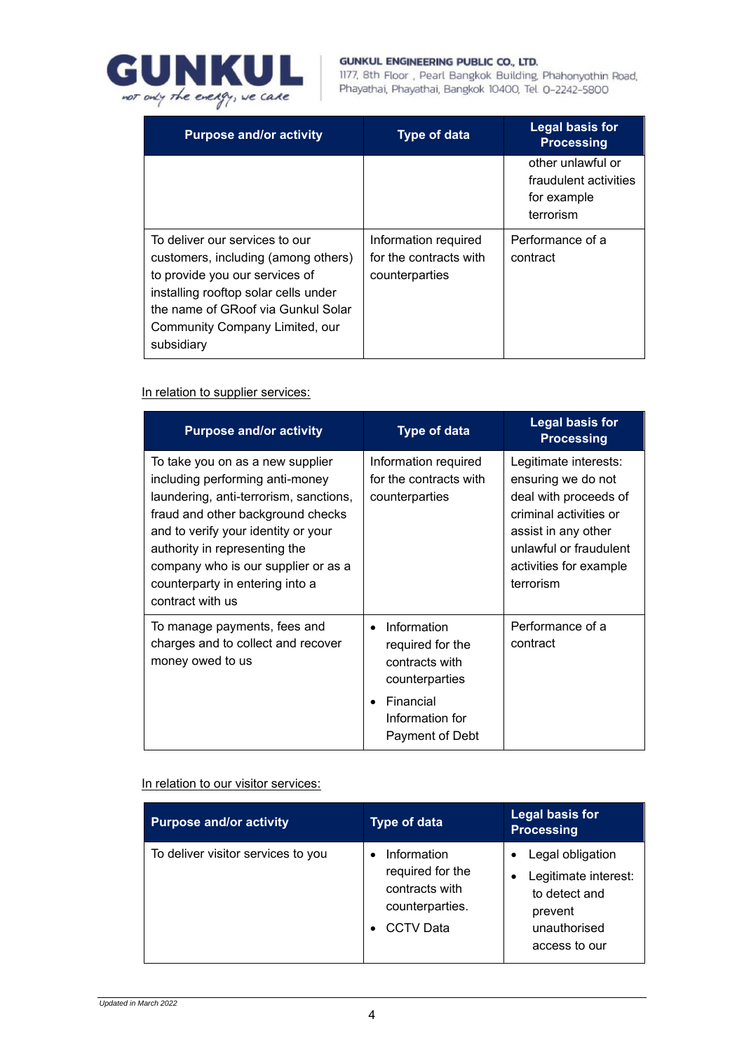

#### **GUNKUL ENGINEERING PUBLIC CO., LTD.**

1177, 8th Floor, Pearl Bangkok Building, Phahonyothin Road, Phayathai, Phayathai, Bangkok 10400, Tel. 0-2242-5800

| <b>Purpose and/or activity</b>                                                                                                                                                                                                        | <b>Type of data</b>                                              | <b>Legal basis for</b><br><b>Processing</b>                            |
|---------------------------------------------------------------------------------------------------------------------------------------------------------------------------------------------------------------------------------------|------------------------------------------------------------------|------------------------------------------------------------------------|
|                                                                                                                                                                                                                                       |                                                                  | other unlawful or<br>fraudulent activities<br>for example<br>terrorism |
| To deliver our services to our<br>customers, including (among others)<br>to provide you our services of<br>installing rooftop solar cells under<br>the name of GRoof via Gunkul Solar<br>Community Company Limited, our<br>subsidiary | Information required<br>for the contracts with<br>counterparties | Performance of a<br>contract                                           |

In relation to supplier services:

| <b>Purpose and/or activity</b>                                                                                                                                                                                                                                                                                           | <b>Type of data</b>                                                                                                                              | <b>Legal basis for</b><br><b>Processing</b>                                                                                                                                            |
|--------------------------------------------------------------------------------------------------------------------------------------------------------------------------------------------------------------------------------------------------------------------------------------------------------------------------|--------------------------------------------------------------------------------------------------------------------------------------------------|----------------------------------------------------------------------------------------------------------------------------------------------------------------------------------------|
| To take you on as a new supplier<br>including performing anti-money<br>laundering, anti-terrorism, sanctions,<br>fraud and other background checks<br>and to verify your identity or your<br>authority in representing the<br>company who is our supplier or as a<br>counterparty in entering into a<br>contract with us | Information required<br>for the contracts with<br>counterparties                                                                                 | Legitimate interests:<br>ensuring we do not<br>deal with proceeds of<br>criminal activities or<br>assist in any other<br>unlawful or fraudulent<br>activities for example<br>terrorism |
| To manage payments, fees and<br>charges and to collect and recover<br>money owed to us                                                                                                                                                                                                                                   | Information<br>$\bullet$<br>required for the<br>contracts with<br>counterparties<br>Financial<br>$\bullet$<br>Information for<br>Payment of Debt | Performance of a<br>contract                                                                                                                                                           |

In relation to our visitor services:

| <b>Purpose and/or activity</b>     | <b>Type of data</b>                                                                      | <b>Legal basis for</b><br><b>Processing</b>                                                           |
|------------------------------------|------------------------------------------------------------------------------------------|-------------------------------------------------------------------------------------------------------|
| To deliver visitor services to you | Information<br>required for the<br>contracts with<br>counterparties.<br><b>CCTV Data</b> | Legal obligation<br>Legitimate interest:<br>to detect and<br>prevent<br>unauthorised<br>access to our |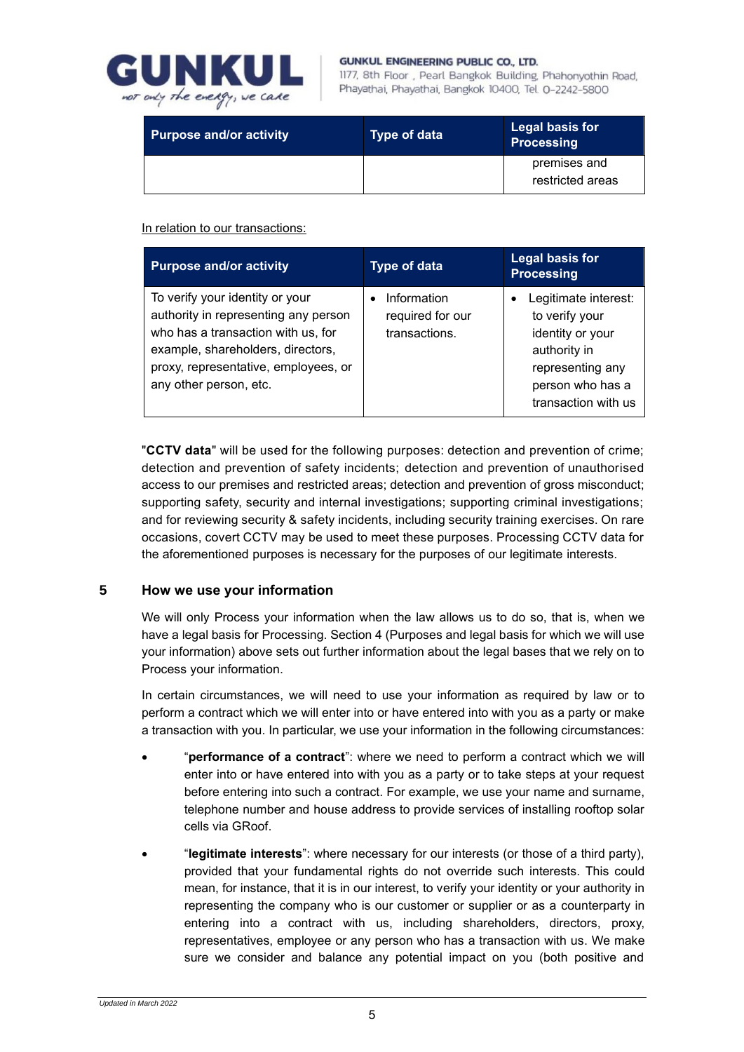

#### GUNKUL ENGINEERING PUBLIC CO., LTD.

1177, 8th Floor, Pearl Bangkok Building, Phahonyothin Road, Phayathai, Phayathai, Bangkok 10400, Tel. 0-2242-5800

| <b>Purpose and/or activity</b> | <b>Type of data</b> | Legal basis for<br><b>Processing</b> |
|--------------------------------|---------------------|--------------------------------------|
|                                |                     | premises and<br>restricted areas     |

In relation to our transactions:

| <b>Purpose and/or activity</b>                                                                                                                                                                                       | <b>Type of data</b>                              | <b>Legal basis for</b><br><b>Processing</b>                                                                                               |
|----------------------------------------------------------------------------------------------------------------------------------------------------------------------------------------------------------------------|--------------------------------------------------|-------------------------------------------------------------------------------------------------------------------------------------------|
| To verify your identity or your<br>authority in representing any person<br>who has a transaction with us, for<br>example, shareholders, directors,<br>proxy, representative, employees, or<br>any other person, etc. | Information<br>required for our<br>transactions. | Legitimate interest:<br>to verify your<br>identity or your<br>authority in<br>representing any<br>person who has a<br>transaction with us |

"**CCTV data**" will be used for the following purposes: detection and prevention of crime; detection and prevention of safety incidents; detection and prevention of unauthorised access to our premises and restricted areas; detection and prevention of gross misconduct; supporting safety, security and internal investigations; supporting criminal investigations; and for reviewing security & safety incidents, including security training exercises. On rare occasions, covert CCTV may be used to meet these purposes. Processing CCTV data for the aforementioned purposes is necessary for the purposes of our legitimate interests.

# <span id="page-4-0"></span>**5 How we use your information**

We will only Process your information when the law allows us to do so, that is, when we have a legal basis for Processing. Section [4](#page-2-0) (Purposes and legal basis for which we will use your information) above sets out further information about the legal bases that we rely on to Process your information.

In certain circumstances, we will need to use your information as required by law or to perform a contract which we will enter into or have entered into with you as a party or make a transaction with you. In particular, we use your information in the following circumstances:

- "**performance of a contract**": where we need to perform a contract which we will enter into or have entered into with you as a party or to take steps at your request before entering into such a contract. For example, we use your name and surname, telephone number and house address to provide services of installing rooftop solar cells via GRoof.
- "**legitimate interests**": where necessary for our interests (or those of a third party), provided that your fundamental rights do not override such interests. This could mean, for instance, that it is in our interest, to verify your identity or your authority in representing the company who is our customer or supplier or as a counterparty in entering into a contract with us, including shareholders, directors, proxy, representatives, employee or any person who has a transaction with us. We make sure we consider and balance any potential impact on you (both positive and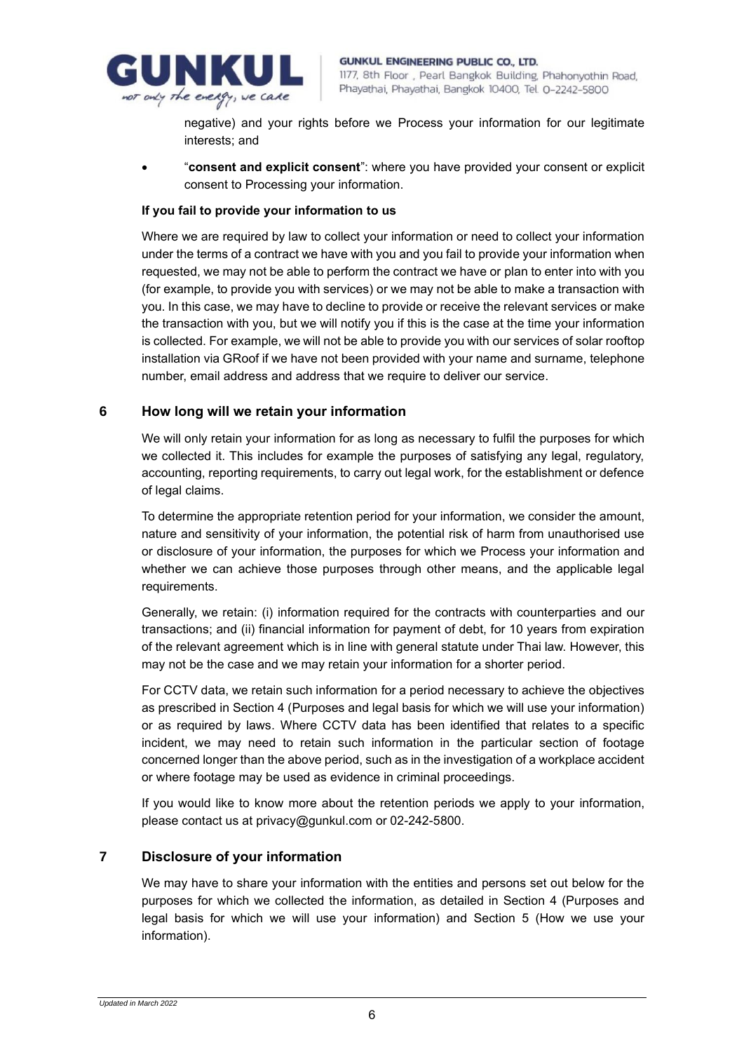

negative) and your rights before we Process your information for our legitimate interests; and

• "**consent and explicit consent**": where you have provided your consent or explicit consent to Processing your information.

### **If you fail to provide your information to us**

Where we are required by law to collect your information or need to collect your information under the terms of a contract we have with you and you fail to provide your information when requested, we may not be able to perform the contract we have or plan to enter into with you (for example, to provide you with services) or we may not be able to make a transaction with you. In this case, we may have to decline to provide or receive the relevant services or make the transaction with you, but we will notify you if this is the case at the time your information is collected. For example, we will not be able to provide you with our services of solar rooftop installation via GRoof if we have not been provided with your name and surname, telephone number, email address and address that we require to deliver our service.

### **6 How long will we retain your information**

We will only retain your information for as long as necessary to fulfil the purposes for which we collected it. This includes for example the purposes of satisfying any legal, regulatory, accounting, reporting requirements, to carry out legal work, for the establishment or defence of legal claims.

To determine the appropriate retention period for your information, we consider the amount, nature and sensitivity of your information, the potential risk of harm from unauthorised use or disclosure of your information, the purposes for which we Process your information and whether we can achieve those purposes through other means, and the applicable legal requirements.

Generally, we retain: (i) information required for the contracts with counterparties and our transactions; and (ii) financial information for payment of debt, for 10 years from expiration of the relevant agreement which is in line with general statute under Thai law. However, this may not be the case and we may retain your information for a shorter period.

For CCTV data, we retain such information for a period necessary to achieve the objectives as prescribed in Section 4 (Purposes and legal basis for which we will use your information) or as required by laws. Where CCTV data has been identified that relates to a specific incident, we may need to retain such information in the particular section of footage concerned longer than the above period, such as in the investigation of a workplace accident or where footage may be used as evidence in criminal proceedings.

If you would like to know more about the retention periods we apply to your information, please contact us at privacy@gunkul.com or 02-242-5800.

### **7 Disclosure of your information**

We may have to share your information with the entities and persons set out below for the purposes for which we collected the information, as detailed in Section [4](#page-2-0) (Purposes and legal basis for which we will use your information) and Section [5](#page-4-0) (How we use your information).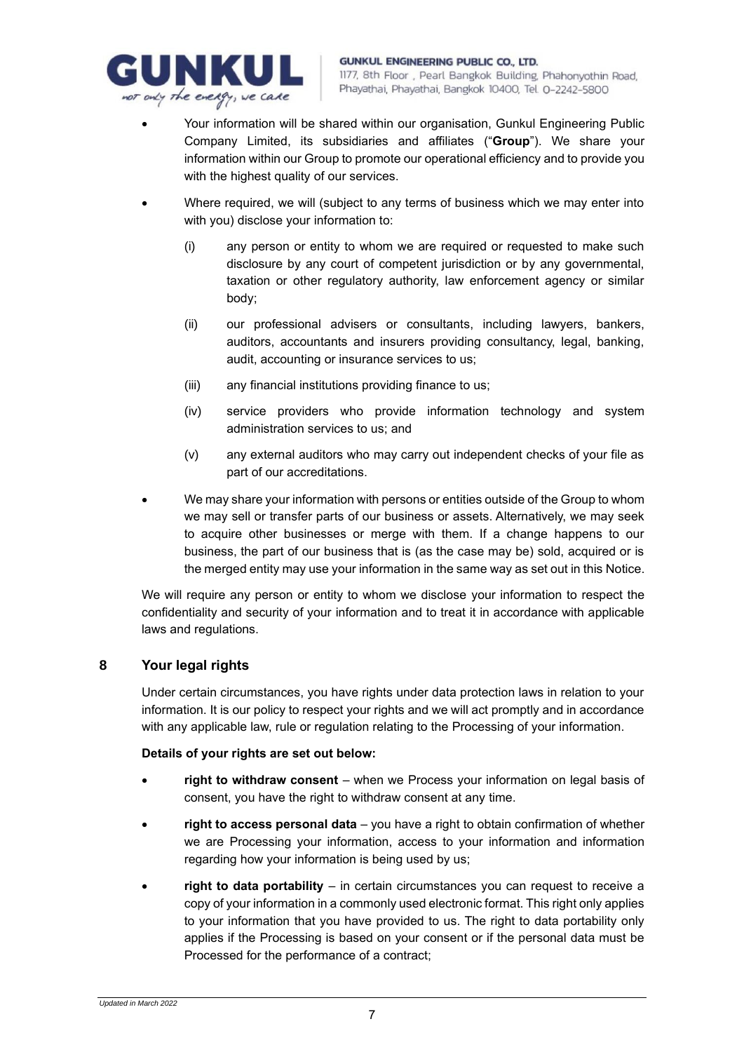

- Your information will be shared within our organisation, Gunkul Engineering Public Company Limited, its subsidiaries and affiliates ("**Group**"). We share your information within our Group to promote our operational efficiency and to provide you with the highest quality of our services.
- Where required, we will (subject to any terms of business which we may enter into with you) disclose your information to:
	- (i) any person or entity to whom we are required or requested to make such disclosure by any court of competent jurisdiction or by any governmental, taxation or other regulatory authority, law enforcement agency or similar body;
	- (ii) our professional advisers or consultants, including lawyers, bankers, auditors, accountants and insurers providing consultancy, legal, banking, audit, accounting or insurance services to us;
	- (iii) any financial institutions providing finance to us;
	- (iv) service providers who provide information technology and system administration services to us; and
	- (v) any external auditors who may carry out independent checks of your file as part of our accreditations.
- We may share your information with persons or entities outside of the Group to whom we may sell or transfer parts of our business or assets. Alternatively, we may seek to acquire other businesses or merge with them. If a change happens to our business, the part of our business that is (as the case may be) sold, acquired or is the merged entity may use your information in the same way as set out in this Notice.

We will require any person or entity to whom we disclose your information to respect the confidentiality and security of your information and to treat it in accordance with applicable laws and regulations.

# **8 Your legal rights**

Under certain circumstances, you have rights under data protection laws in relation to your information. It is our policy to respect your rights and we will act promptly and in accordance with any applicable law, rule or regulation relating to the Processing of your information.

### **Details of your rights are set out below:**

- **right to withdraw consent** when we Process your information on legal basis of consent, you have the right to withdraw consent at any time.
- **right to access personal data** you have a right to obtain confirmation of whether we are Processing your information, access to your information and information regarding how your information is being used by us;
- **right to data portability** in certain circumstances you can request to receive a copy of your information in a commonly used electronic format. This right only applies to your information that you have provided to us. The right to data portability only applies if the Processing is based on your consent or if the personal data must be Processed for the performance of a contract;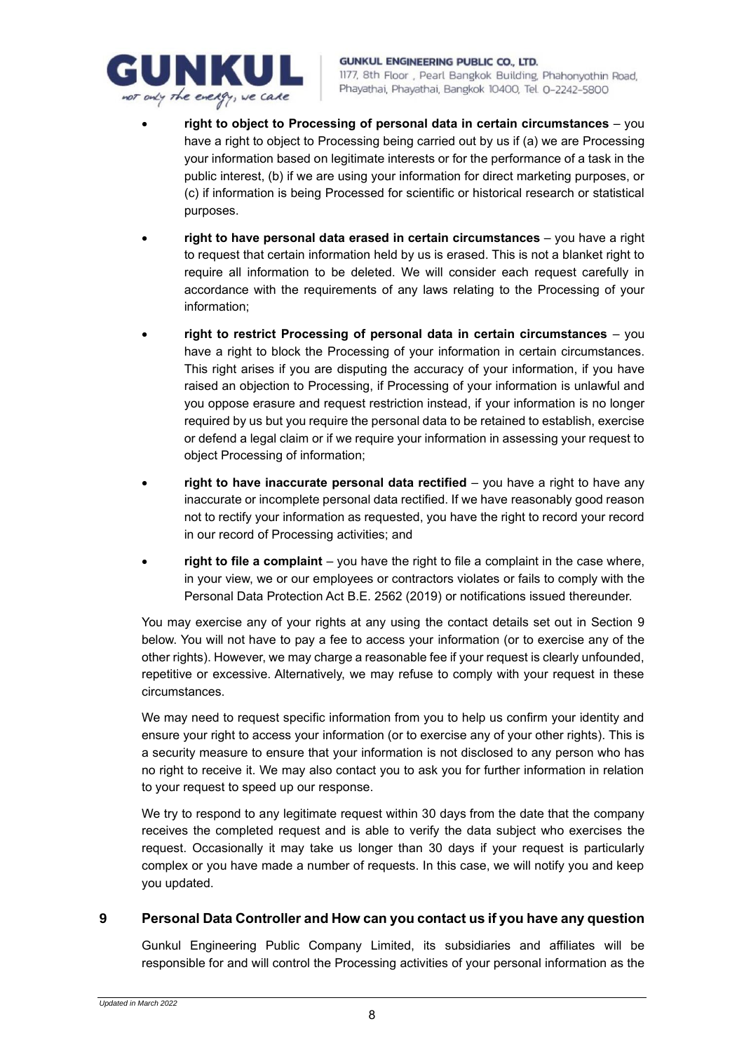

- **right to object to Processing of personal data in certain circumstances** you have a right to object to Processing being carried out by us if (a) we are Processing your information based on legitimate interests or for the performance of a task in the public interest, (b) if we are using your information for direct marketing purposes, or (c) if information is being Processed for scientific or historical research or statistical purposes.
- **right to have personal data erased in certain circumstances** you have a right to request that certain information held by us is erased. This is not a blanket right to require all information to be deleted. We will consider each request carefully in accordance with the requirements of any laws relating to the Processing of your information;
- **right to restrict Processing of personal data in certain circumstances** you have a right to block the Processing of your information in certain circumstances. This right arises if you are disputing the accuracy of your information, if you have raised an objection to Processing, if Processing of your information is unlawful and you oppose erasure and request restriction instead, if your information is no longer required by us but you require the personal data to be retained to establish, exercise or defend a legal claim or if we require your information in assessing your request to object Processing of information;
- **right to have inaccurate personal data rectified** you have a right to have any inaccurate or incomplete personal data rectified. If we have reasonably good reason not to rectify your information as requested, you have the right to record your record in our record of Processing activities; and
- **right to file a complaint** you have the right to file a complaint in the case where, in your view, we or our employees or contractors violates or fails to comply with the Personal Data Protection Act B.E. 2562 (2019) or notifications issued thereunder.

You may exercise any of your rights at any using the contact details set out in Section [9](#page-7-0) below. You will not have to pay a fee to access your information (or to exercise any of the other rights). However, we may charge a reasonable fee if your request is clearly unfounded, repetitive or excessive. Alternatively, we may refuse to comply with your request in these circumstances.

We may need to request specific information from you to help us confirm your identity and ensure your right to access your information (or to exercise any of your other rights). This is a security measure to ensure that your information is not disclosed to any person who has no right to receive it. We may also contact you to ask you for further information in relation to your request to speed up our response.

We try to respond to any legitimate request within 30 days from the date that the company receives the completed request and is able to verify the data subject who exercises the request. Occasionally it may take us longer than 30 days if your request is particularly complex or you have made a number of requests. In this case, we will notify you and keep you updated.

# <span id="page-7-0"></span>**9 Personal Data Controller and How can you contact us if you have any question**

Gunkul Engineering Public Company Limited, its subsidiaries and affiliates will be responsible for and will control the Processing activities of your personal information as the